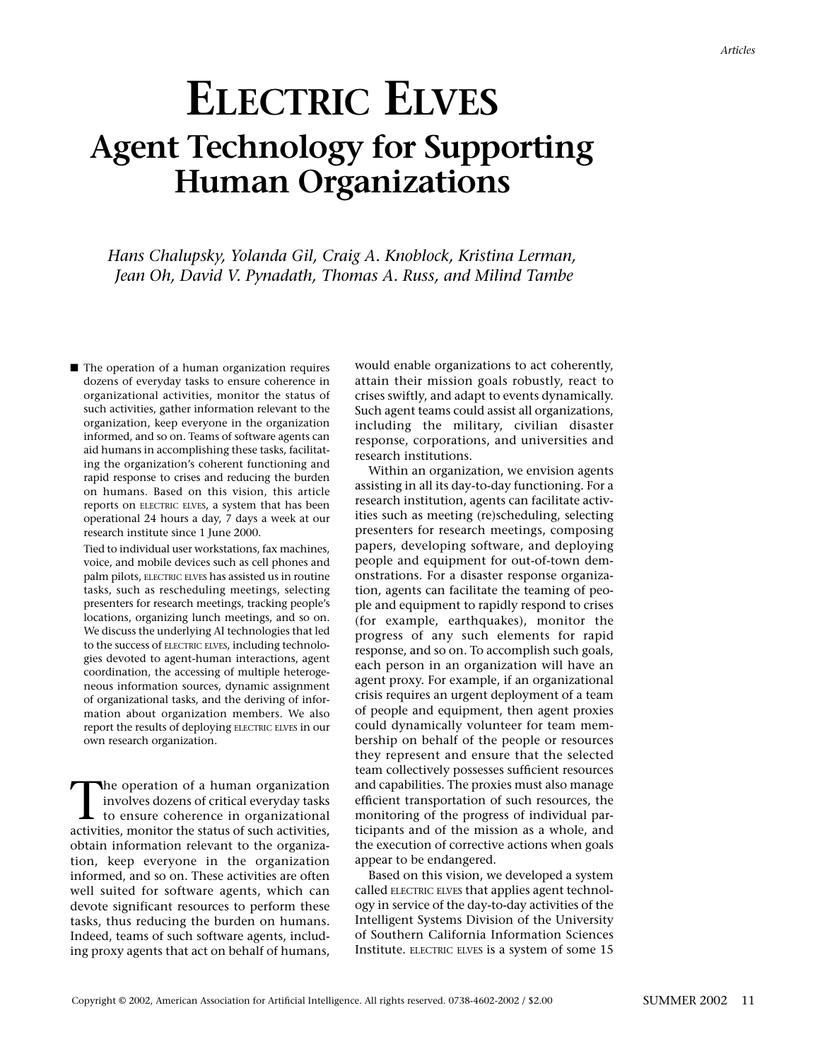# **ELECTRIC ELVES Agent Technology for Supporting Human Organizations**

*Hans Chalupsky, Yolanda Gil, Craig A. Knoblock, Kristina Lerman, Jean Oh, David V. Pynadath, Thomas A. Russ, and Milind Tambe*

■ The operation of a human organization requires dozens of everyday tasks to ensure coherence in organizational activities, monitor the status of such activities, gather information relevant to the organization, keep everyone in the organization informed, and so on. Teams of software agents can aid humans in accomplishing these tasks, facilitating the organization's coherent functioning and rapid response to crises and reducing the burden on humans. Based on this vision, this article reports on ELECTRIC ELVES, a system that has been operational 24 hours a day, 7 days a week at our research institute since 1 June 2000.

Tied to individual user workstations, fax machines, voice, and mobile devices such as cell phones and palm pilots, ELECTRIC ELVES has assisted us in routine tasks, such as rescheduling meetings, selecting presenters for research meetings, tracking people's locations, organizing lunch meetings, and so on. We discuss the underlying AI technologies that led to the success of ELECTRIC ELVES, including technologies devoted to agent-human interactions, agent coordination, the accessing of multiple heterogeneous information sources, dynamic assignment of organizational tasks, and the deriving of information about organization members. We also report the results of deploying ELECTRIC ELVES in our own research organization.

The operation of a human organization involves dozens of critical everyday tasks to ensure coherence in organizational activities, monitor the status of such activities, obtain information relevant to the organization, keep everyone in the organization informed, and so on. These activities are often well suited for software agents, which can devote significant resources to perform these tasks, thus reducing the burden on humans. Indeed, teams of such software agents, including proxy agents that act on behalf of humans,

would enable organizations to act coherently, attain their mission goals robustly, react to crises swiftly, and adapt to events dynamically. Such agent teams could assist all organizations, including the military, civilian disaster response, corporations, and universities and research institutions.

Within an organization, we envision agents assisting in all its day-to-day functioning. For a research institution, agents can facilitate activities such as meeting (re)scheduling, selecting presenters for research meetings, composing papers, developing software, and deploying people and equipment for out-of-town demonstrations. For a disaster response organization, agents can facilitate the teaming of people and equipment to rapidly respond to crises (for example, earthquakes), monitor the progress of any such elements for rapid response, and so on. To accomplish such goals, each person in an organization will have an agent proxy. For example, if an organizational crisis requires an urgent deployment of a team of people and equipment, then agent proxies could dynamically volunteer for team membership on behalf of the people or resources they represent and ensure that the selected team collectively possesses sufficient resources and capabilities. The proxies must also manage efficient transportation of such resources, the monitoring of the progress of individual participants and of the mission as a whole, and the execution of corrective actions when goals appear to be endangered.

Based on this vision, we developed a system called ELECTRIC ELVES that applies agent technology in service of the day-to-day activities of the Intelligent Systems Division of the University of Southern California Information Sciences Institute. ELECTRIC ELVES is a system of some 15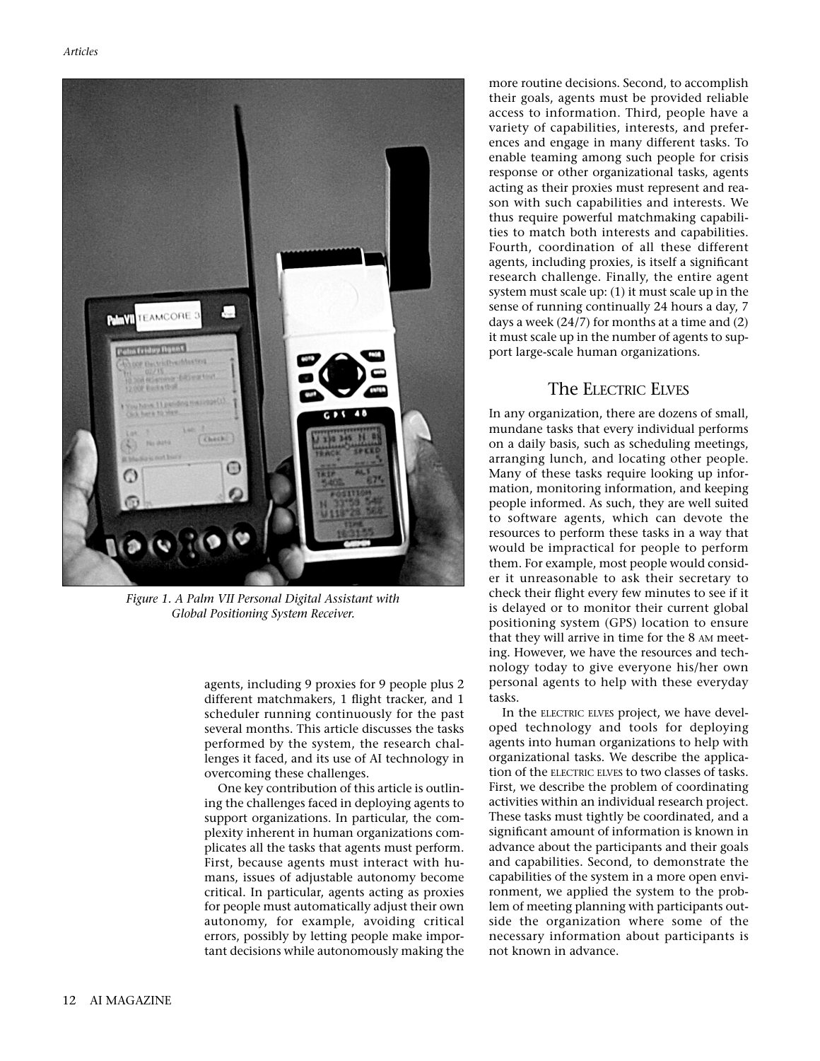

*Figure 1. A Palm VII Personal Digital Assistant with Global Positioning System Receiver.*

agents, including 9 proxies for 9 people plus 2 different matchmakers, 1 flight tracker, and 1 scheduler running continuously for the past several months. This article discusses the tasks performed by the system, the research challenges it faced, and its use of AI technology in overcoming these challenges.

One key contribution of this article is outlining the challenges faced in deploying agents to support organizations. In particular, the complexity inherent in human organizations complicates all the tasks that agents must perform. First, because agents must interact with humans, issues of adjustable autonomy become critical. In particular, agents acting as proxies for people must automatically adjust their own autonomy, for example, avoiding critical errors, possibly by letting people make important decisions while autonomously making the more routine decisions. Second, to accomplish their goals, agents must be provided reliable access to information. Third, people have a variety of capabilities, interests, and preferences and engage in many different tasks. To enable teaming among such people for crisis response or other organizational tasks, agents acting as their proxies must represent and reason with such capabilities and interests. We thus require powerful matchmaking capabilities to match both interests and capabilities. Fourth, coordination of all these different agents, including proxies, is itself a significant research challenge. Finally, the entire agent system must scale up: (1) it must scale up in the sense of running continually 24 hours a day, 7 days a week (24/7) for months at a time and (2) it must scale up in the number of agents to support large-scale human organizations.

## The ELECTRIC ELVES

In any organization, there are dozens of small, mundane tasks that every individual performs on a daily basis, such as scheduling meetings, arranging lunch, and locating other people. Many of these tasks require looking up information, monitoring information, and keeping people informed. As such, they are well suited to software agents, which can devote the resources to perform these tasks in a way that would be impractical for people to perform them. For example, most people would consider it unreasonable to ask their secretary to check their flight every few minutes to see if it is delayed or to monitor their current global positioning system (GPS) location to ensure that they will arrive in time for the 8 AM meeting. However, we have the resources and technology today to give everyone his/her own personal agents to help with these everyday tasks.

In the ELECTRIC ELVES project, we have developed technology and tools for deploying agents into human organizations to help with organizational tasks. We describe the application of the ELECTRIC ELVES to two classes of tasks. First, we describe the problem of coordinating activities within an individual research project. These tasks must tightly be coordinated, and a significant amount of information is known in advance about the participants and their goals and capabilities. Second, to demonstrate the capabilities of the system in a more open environment, we applied the system to the problem of meeting planning with participants outside the organization where some of the necessary information about participants is not known in advance.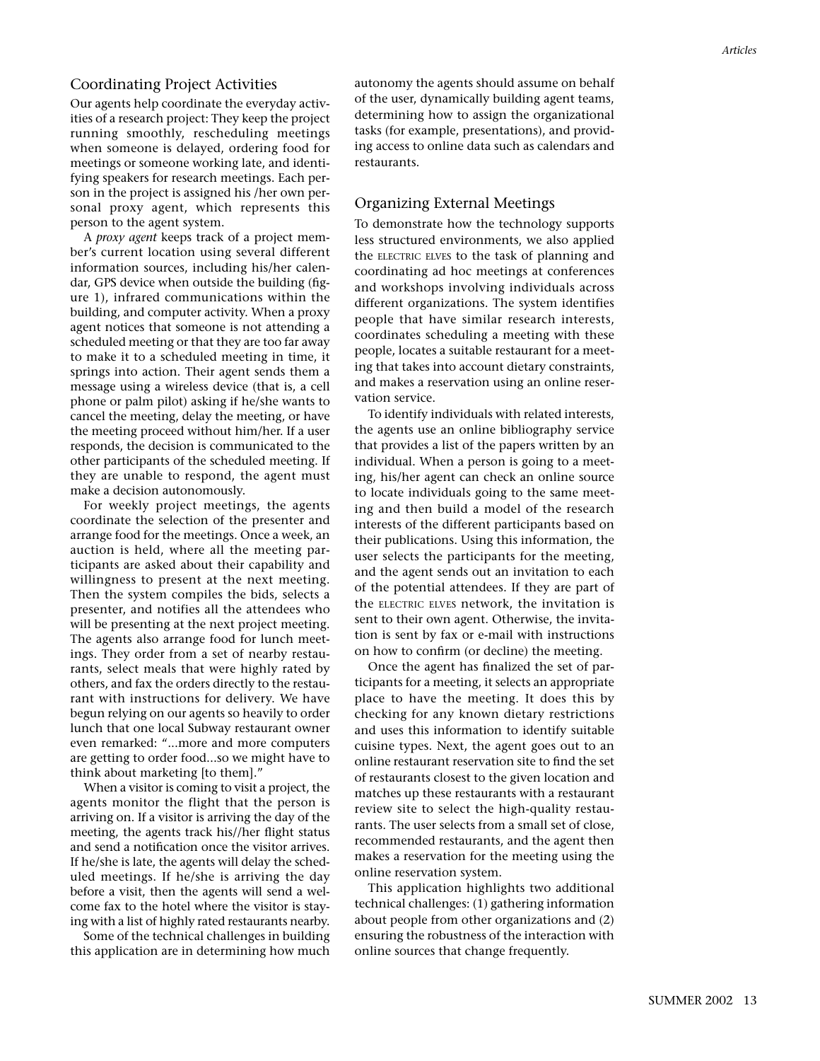#### Coordinating Project Activities

Our agents help coordinate the everyday activities of a research project: They keep the project running smoothly, rescheduling meetings when someone is delayed, ordering food for meetings or someone working late, and identifying speakers for research meetings. Each person in the project is assigned his /her own personal proxy agent, which represents this person to the agent system.

A *proxy agent* keeps track of a project member's current location using several different information sources, including his/her calendar, GPS device when outside the building (figure 1), infrared communications within the building, and computer activity. When a proxy agent notices that someone is not attending a scheduled meeting or that they are too far away to make it to a scheduled meeting in time, it springs into action. Their agent sends them a message using a wireless device (that is, a cell phone or palm pilot) asking if he/she wants to cancel the meeting, delay the meeting, or have the meeting proceed without him/her. If a user responds, the decision is communicated to the other participants of the scheduled meeting. If they are unable to respond, the agent must make a decision autonomously.

For weekly project meetings, the agents coordinate the selection of the presenter and arrange food for the meetings. Once a week, an auction is held, where all the meeting participants are asked about their capability and willingness to present at the next meeting. Then the system compiles the bids, selects a presenter, and notifies all the attendees who will be presenting at the next project meeting. The agents also arrange food for lunch meetings. They order from a set of nearby restaurants, select meals that were highly rated by others, and fax the orders directly to the restaurant with instructions for delivery. We have begun relying on our agents so heavily to order lunch that one local Subway restaurant owner even remarked: "...more and more computers are getting to order food...so we might have to think about marketing [to them]."

When a visitor is coming to visit a project, the agents monitor the flight that the person is arriving on. If a visitor is arriving the day of the meeting, the agents track his//her flight status and send a notification once the visitor arrives. If he/she is late, the agents will delay the scheduled meetings. If he/she is arriving the day before a visit, then the agents will send a welcome fax to the hotel where the visitor is staying with a list of highly rated restaurants nearby.

Some of the technical challenges in building this application are in determining how much

autonomy the agents should assume on behalf of the user, dynamically building agent teams, determining how to assign the organizational tasks (for example, presentations), and providing access to online data such as calendars and restaurants.

#### Organizing External Meetings

To demonstrate how the technology supports less structured environments, we also applied the ELECTRIC ELVES to the task of planning and coordinating ad hoc meetings at conferences and workshops involving individuals across different organizations. The system identifies people that have similar research interests, coordinates scheduling a meeting with these people, locates a suitable restaurant for a meeting that takes into account dietary constraints, and makes a reservation using an online reservation service.

To identify individuals with related interests, the agents use an online bibliography service that provides a list of the papers written by an individual. When a person is going to a meeting, his/her agent can check an online source to locate individuals going to the same meeting and then build a model of the research interests of the different participants based on their publications. Using this information, the user selects the participants for the meeting, and the agent sends out an invitation to each of the potential attendees. If they are part of the ELECTRIC ELVES network, the invitation is sent to their own agent. Otherwise, the invitation is sent by fax or e-mail with instructions on how to confirm (or decline) the meeting.

Once the agent has finalized the set of participants for a meeting, it selects an appropriate place to have the meeting. It does this by checking for any known dietary restrictions and uses this information to identify suitable cuisine types. Next, the agent goes out to an online restaurant reservation site to find the set of restaurants closest to the given location and matches up these restaurants with a restaurant review site to select the high-quality restaurants. The user selects from a small set of close, recommended restaurants, and the agent then makes a reservation for the meeting using the online reservation system.

This application highlights two additional technical challenges: (1) gathering information about people from other organizations and (2) ensuring the robustness of the interaction with online sources that change frequently.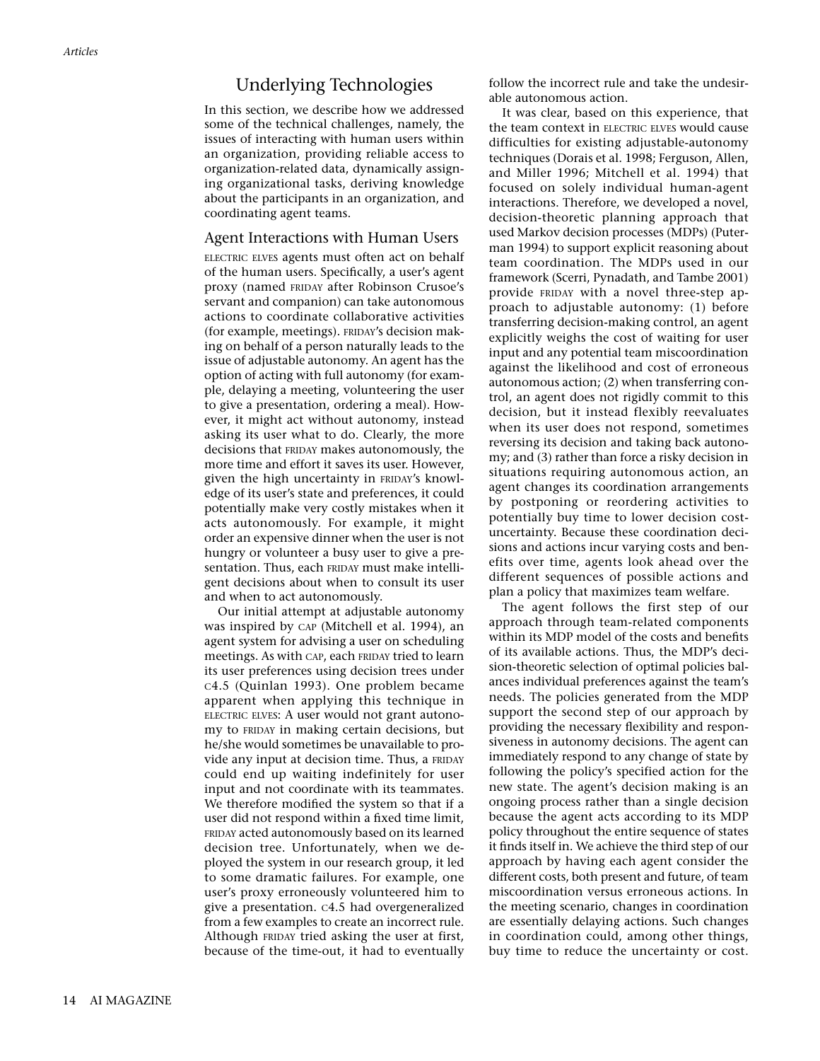## Underlying Technologies

In this section, we describe how we addressed some of the technical challenges, namely, the issues of interacting with human users within an organization, providing reliable access to organization-related data, dynamically assigning organizational tasks, deriving knowledge about the participants in an organization, and coordinating agent teams.

#### Agent Interactions with Human Users

ELECTRIC ELVES agents must often act on behalf of the human users. Specifically, a user's agent proxy (named FRIDAY after Robinson Crusoe's servant and companion) can take autonomous actions to coordinate collaborative activities (for example, meetings). FRIDAY's decision making on behalf of a person naturally leads to the issue of adjustable autonomy. An agent has the option of acting with full autonomy (for example, delaying a meeting, volunteering the user to give a presentation, ordering a meal). However, it might act without autonomy, instead asking its user what to do. Clearly, the more decisions that FRIDAY makes autonomously, the more time and effort it saves its user. However, given the high uncertainty in FRIDAY's knowledge of its user's state and preferences, it could potentially make very costly mistakes when it acts autonomously. For example, it might order an expensive dinner when the user is not hungry or volunteer a busy user to give a presentation. Thus, each FRIDAY must make intelligent decisions about when to consult its user and when to act autonomously.

Our initial attempt at adjustable autonomy was inspired by CAP (Mitchell et al. 1994), an agent system for advising a user on scheduling meetings. As with CAP, each FRIDAY tried to learn its user preferences using decision trees under C4.5 (Quinlan 1993). One problem became apparent when applying this technique in ELECTRIC ELVES: A user would not grant autonomy to FRIDAY in making certain decisions, but he/she would sometimes be unavailable to provide any input at decision time. Thus, a FRIDAY could end up waiting indefinitely for user input and not coordinate with its teammates. We therefore modified the system so that if a user did not respond within a fixed time limit, FRIDAY acted autonomously based on its learned decision tree. Unfortunately, when we deployed the system in our research group, it led to some dramatic failures. For example, one user's proxy erroneously volunteered him to give a presentation. C4.5 had overgeneralized from a few examples to create an incorrect rule. Although FRIDAY tried asking the user at first, because of the time-out, it had to eventually follow the incorrect rule and take the undesirable autonomous action.

It was clear, based on this experience, that the team context in ELECTRIC ELVES would cause difficulties for existing adjustable-autonomy techniques (Dorais et al. 1998; Ferguson, Allen, and Miller 1996; Mitchell et al. 1994) that focused on solely individual human-agent interactions. Therefore, we developed a novel, decision-theoretic planning approach that used Markov decision processes (MDPs) (Puterman 1994) to support explicit reasoning about team coordination. The MDPs used in our framework (Scerri, Pynadath, and Tambe 2001) provide FRIDAY with a novel three-step approach to adjustable autonomy: (1) before transferring decision-making control, an agent explicitly weighs the cost of waiting for user input and any potential team miscoordination against the likelihood and cost of erroneous autonomous action; (2) when transferring control, an agent does not rigidly commit to this decision, but it instead flexibly reevaluates when its user does not respond, sometimes reversing its decision and taking back autonomy; and (3) rather than force a risky decision in situations requiring autonomous action, an agent changes its coordination arrangements by postponing or reordering activities to potentially buy time to lower decision costuncertainty. Because these coordination decisions and actions incur varying costs and benefits over time, agents look ahead over the different sequences of possible actions and plan a policy that maximizes team welfare.

The agent follows the first step of our approach through team-related components within its MDP model of the costs and benefits of its available actions. Thus, the MDP's decision-theoretic selection of optimal policies balances individual preferences against the team's needs. The policies generated from the MDP support the second step of our approach by providing the necessary flexibility and responsiveness in autonomy decisions. The agent can immediately respond to any change of state by following the policy's specified action for the new state. The agent's decision making is an ongoing process rather than a single decision because the agent acts according to its MDP policy throughout the entire sequence of states it finds itself in. We achieve the third step of our approach by having each agent consider the different costs, both present and future, of team miscoordination versus erroneous actions. In the meeting scenario, changes in coordination are essentially delaying actions. Such changes in coordination could, among other things, buy time to reduce the uncertainty or cost.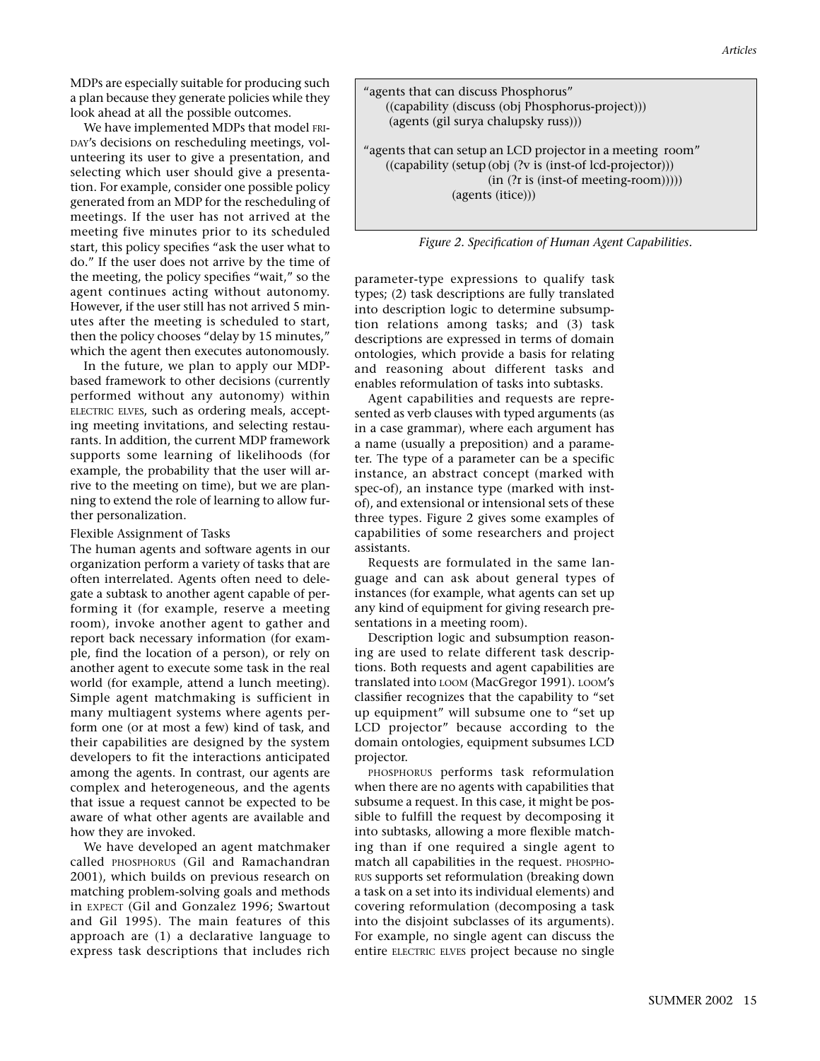MDPs are especially suitable for producing such a plan because they generate policies while they look ahead at all the possible outcomes.

We have implemented MDPs that model FRI-DAY's decisions on rescheduling meetings, volunteering its user to give a presentation, and selecting which user should give a presentation. For example, consider one possible policy generated from an MDP for the rescheduling of meetings. If the user has not arrived at the meeting five minutes prior to its scheduled start, this policy specifies "ask the user what to do." If the user does not arrive by the time of the meeting, the policy specifies "wait," so the agent continues acting without autonomy. However, if the user still has not arrived 5 minutes after the meeting is scheduled to start, then the policy chooses "delay by 15 minutes," which the agent then executes autonomously.

In the future, we plan to apply our MDPbased framework to other decisions (currently performed without any autonomy) within ELECTRIC ELVES, such as ordering meals, accepting meeting invitations, and selecting restaurants. In addition, the current MDP framework supports some learning of likelihoods (for example, the probability that the user will arrive to the meeting on time), but we are planning to extend the role of learning to allow further personalization.

Flexible Assignment of Tasks

The human agents and software agents in our organization perform a variety of tasks that are often interrelated. Agents often need to delegate a subtask to another agent capable of performing it (for example, reserve a meeting room), invoke another agent to gather and report back necessary information (for example, find the location of a person), or rely on another agent to execute some task in the real world (for example, attend a lunch meeting). Simple agent matchmaking is sufficient in many multiagent systems where agents perform one (or at most a few) kind of task, and their capabilities are designed by the system developers to fit the interactions anticipated among the agents. In contrast, our agents are complex and heterogeneous, and the agents that issue a request cannot be expected to be aware of what other agents are available and how they are invoked.

We have developed an agent matchmaker called PHOSPHORUS (Gil and Ramachandran 2001), which builds on previous research on matching problem-solving goals and methods in EXPECT (Gil and Gonzalez 1996; Swartout and Gil 1995). The main features of this approach are (1) a declarative language to express task descriptions that includes rich

| "agents that can discuss Phosphorus"<br>((capability (discuss (obj Phosphorus-project)))<br>(agents (gil surya chalupsky russ)))                                                       |  |
|----------------------------------------------------------------------------------------------------------------------------------------------------------------------------------------|--|
| "agents that can setup an LCD projector in a meeting room"<br>((capability (setup (obj (?v is (inst-of lcd-projector)))<br>$(in (?r is (inst-of meeting-room))))$<br>(agents (itice))) |  |

*Figure 2. Specification of Human Agent Capabilities.*

parameter-type expressions to qualify task types; (2) task descriptions are fully translated into description logic to determine subsumption relations among tasks; and (3) task descriptions are expressed in terms of domain ontologies, which provide a basis for relating and reasoning about different tasks and enables reformulation of tasks into subtasks.

Agent capabilities and requests are represented as verb clauses with typed arguments (as in a case grammar), where each argument has a name (usually a preposition) and a parameter. The type of a parameter can be a specific instance, an abstract concept (marked with spec-of), an instance type (marked with instof), and extensional or intensional sets of these three types. Figure 2 gives some examples of capabilities of some researchers and project assistants.

Requests are formulated in the same language and can ask about general types of instances (for example, what agents can set up any kind of equipment for giving research presentations in a meeting room).

Description logic and subsumption reasoning are used to relate different task descriptions. Both requests and agent capabilities are translated into LOOM (MacGregor 1991). LOOM's classifier recognizes that the capability to "set up equipment" will subsume one to "set up LCD projector" because according to the domain ontologies, equipment subsumes LCD projector.

PHOSPHORUS performs task reformulation when there are no agents with capabilities that subsume a request. In this case, it might be possible to fulfill the request by decomposing it into subtasks, allowing a more flexible matching than if one required a single agent to match all capabilities in the request. PHOSPHO-RUS supports set reformulation (breaking down a task on a set into its individual elements) and covering reformulation (decomposing a task into the disjoint subclasses of its arguments). For example, no single agent can discuss the entire ELECTRIC ELVES project because no single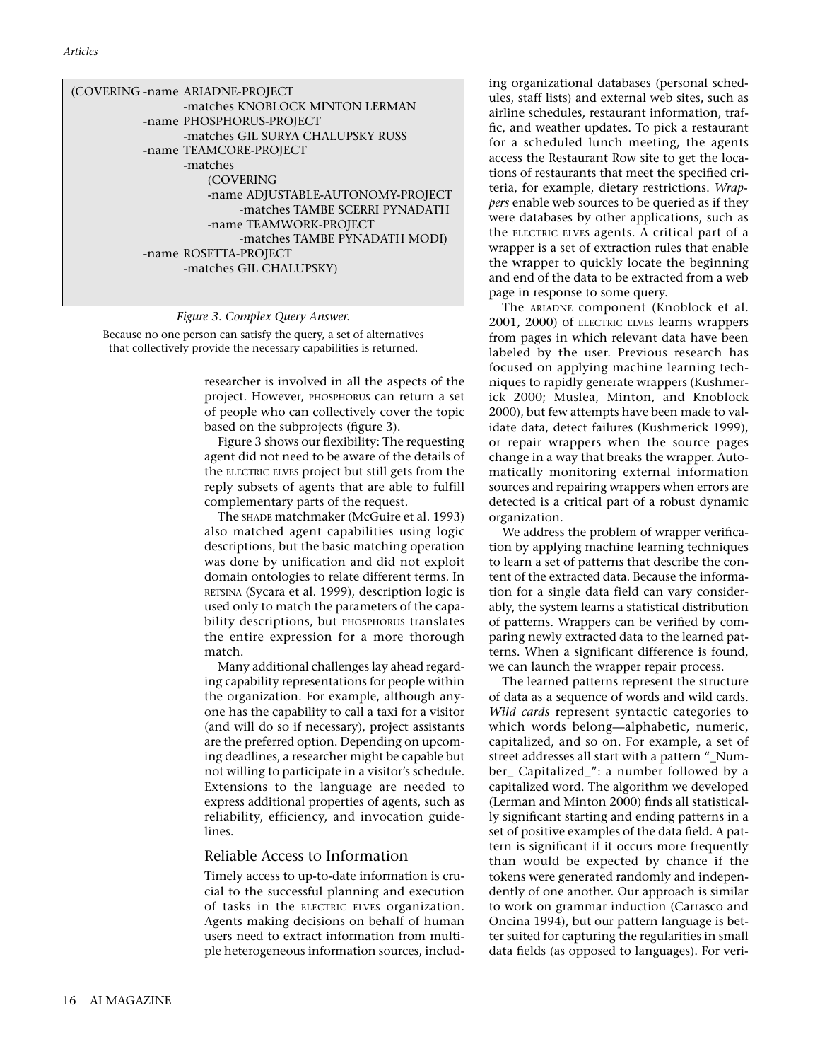| (COVERING -name ARIADNE-PROJECT   |
|-----------------------------------|
| -matches KNOBLOCK MINTON LERMAN   |
| -name PHOSPHORUS-PROJECT          |
| -matches GIL SURYA CHALUPSKY RUSS |
| -name TEAMCORE-PROJECT            |
| -matches                          |
| (COVERING                         |
| -name ADJUSTABLE-AUTONOMY-PROJECT |
| -matches TAMBE SCERRI PYNADATH    |
| -name TEAMWORK-PROJECT            |
| -matches TAMBE PYNADATH MODI)     |
| -name ROSETTA-PROJECT             |
| -matches GIL CHALUPSKY)           |
|                                   |

#### *Figure 3. Complex Query Answer.*

Because no one person can satisfy the query, a set of alternatives that collectively provide the necessary capabilities is returned.

> researcher is involved in all the aspects of the project. However, PHOSPHORUS can return a set of people who can collectively cover the topic based on the subprojects (figure 3).

> Figure 3 shows our flexibility: The requesting agent did not need to be aware of the details of the ELECTRIC ELVES project but still gets from the reply subsets of agents that are able to fulfill complementary parts of the request.

The SHADE matchmaker (McGuire et al. 1993) also matched agent capabilities using logic descriptions, but the basic matching operation was done by unification and did not exploit domain ontologies to relate different terms. In RETSINA (Sycara et al. 1999), description logic is used only to match the parameters of the capability descriptions, but PHOSPHORUS translates the entire expression for a more thorough match.

Many additional challenges lay ahead regarding capability representations for people within the organization. For example, although anyone has the capability to call a taxi for a visitor (and will do so if necessary), project assistants are the preferred option. Depending on upcoming deadlines, a researcher might be capable but not willing to participate in a visitor's schedule. Extensions to the language are needed to express additional properties of agents, such as reliability, efficiency, and invocation guidelines.

#### Reliable Access to Information

Timely access to up-to-date information is crucial to the successful planning and execution of tasks in the ELECTRIC ELVES organization. Agents making decisions on behalf of human users need to extract information from multiple heterogeneous information sources, including organizational databases (personal schedules, staff lists) and external web sites, such as airline schedules, restaurant information, traffic, and weather updates. To pick a restaurant for a scheduled lunch meeting, the agents access the Restaurant Row site to get the locations of restaurants that meet the specified criteria, for example, dietary restrictions. *Wrappers* enable web sources to be queried as if they were databases by other applications, such as the ELECTRIC ELVES agents. A critical part of a wrapper is a set of extraction rules that enable the wrapper to quickly locate the beginning and end of the data to be extracted from a web page in response to some query.

The ARIADNE component (Knoblock et al. 2001, 2000) of ELECTRIC ELVES learns wrappers from pages in which relevant data have been labeled by the user. Previous research has focused on applying machine learning techniques to rapidly generate wrappers (Kushmerick 2000; Muslea, Minton, and Knoblock 2000), but few attempts have been made to validate data, detect failures (Kushmerick 1999), or repair wrappers when the source pages change in a way that breaks the wrapper. Automatically monitoring external information sources and repairing wrappers when errors are detected is a critical part of a robust dynamic organization.

We address the problem of wrapper verification by applying machine learning techniques to learn a set of patterns that describe the content of the extracted data. Because the information for a single data field can vary considerably, the system learns a statistical distribution of patterns. Wrappers can be verified by comparing newly extracted data to the learned patterns. When a significant difference is found, we can launch the wrapper repair process.

The learned patterns represent the structure of data as a sequence of words and wild cards. *Wild cards* represent syntactic categories to which words belong—alphabetic, numeric, capitalized, and so on. For example, a set of street addresses all start with a pattern " Number\_ Capitalized\_": a number followed by a capitalized word. The algorithm we developed (Lerman and Minton 2000) finds all statistically significant starting and ending patterns in a set of positive examples of the data field. A pattern is significant if it occurs more frequently than would be expected by chance if the tokens were generated randomly and independently of one another. Our approach is similar to work on grammar induction (Carrasco and Oncina 1994), but our pattern language is better suited for capturing the regularities in small data fields (as opposed to languages). For veri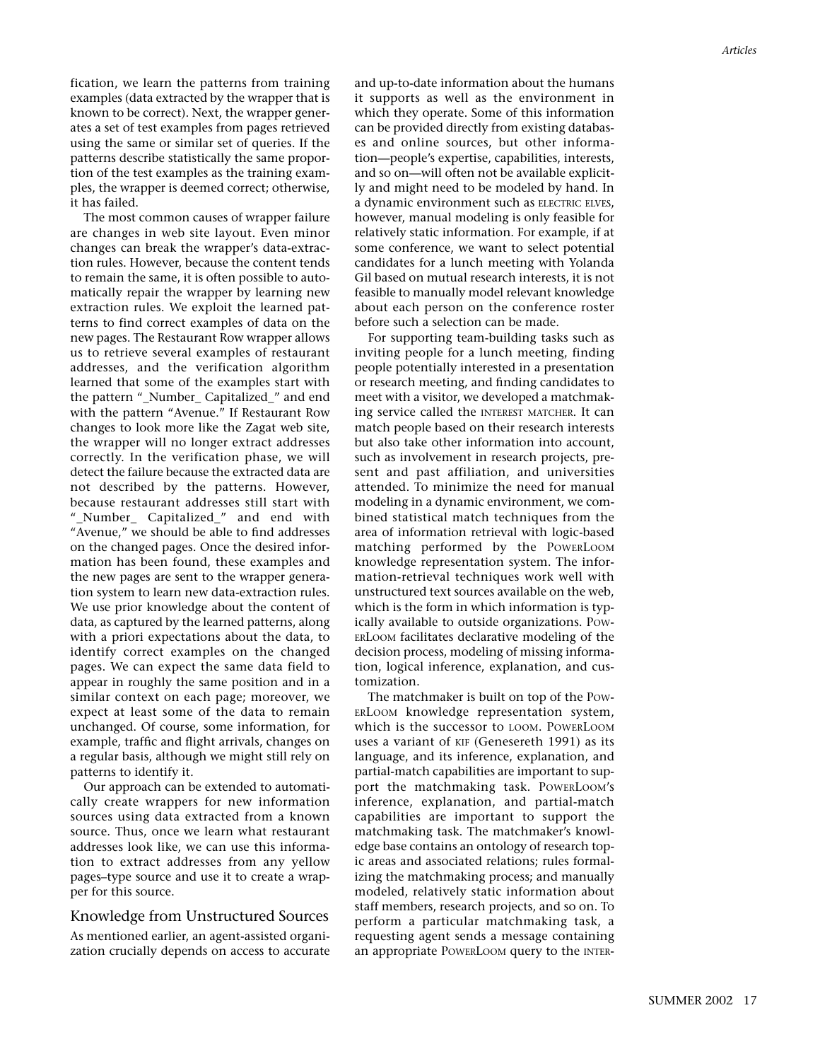fication, we learn the patterns from training examples (data extracted by the wrapper that is known to be correct). Next, the wrapper generates a set of test examples from pages retrieved using the same or similar set of queries. If the patterns describe statistically the same proportion of the test examples as the training examples, the wrapper is deemed correct; otherwise, it has failed.

The most common causes of wrapper failure are changes in web site layout. Even minor changes can break the wrapper's data-extraction rules. However, because the content tends to remain the same, it is often possible to automatically repair the wrapper by learning new extraction rules. We exploit the learned patterns to find correct examples of data on the new pages. The Restaurant Row wrapper allows us to retrieve several examples of restaurant addresses, and the verification algorithm learned that some of the examples start with the pattern "\_Number\_ Capitalized\_" and end with the pattern "Avenue." If Restaurant Row changes to look more like the Zagat web site, the wrapper will no longer extract addresses correctly. In the verification phase, we will detect the failure because the extracted data are not described by the patterns. However, because restaurant addresses still start with "\_Number\_ Capitalized\_" and end with "Avenue," we should be able to find addresses on the changed pages. Once the desired information has been found, these examples and the new pages are sent to the wrapper generation system to learn new data-extraction rules. We use prior knowledge about the content of data, as captured by the learned patterns, along with a priori expectations about the data, to identify correct examples on the changed pages. We can expect the same data field to appear in roughly the same position and in a similar context on each page; moreover, we expect at least some of the data to remain unchanged. Of course, some information, for example, traffic and flight arrivals, changes on a regular basis, although we might still rely on patterns to identify it.

Our approach can be extended to automatically create wrappers for new information sources using data extracted from a known source. Thus, once we learn what restaurant addresses look like, we can use this information to extract addresses from any yellow pages–type source and use it to create a wrapper for this source.

#### Knowledge from Unstructured Sources

As mentioned earlier, an agent-assisted organization crucially depends on access to accurate and up-to-date information about the humans it supports as well as the environment in which they operate. Some of this information can be provided directly from existing databases and online sources, but other information—people's expertise, capabilities, interests, and so on—will often not be available explicitly and might need to be modeled by hand. In a dynamic environment such as ELECTRIC ELVES, however, manual modeling is only feasible for relatively static information. For example, if at some conference, we want to select potential candidates for a lunch meeting with Yolanda Gil based on mutual research interests, it is not feasible to manually model relevant knowledge about each person on the conference roster before such a selection can be made.

For supporting team-building tasks such as inviting people for a lunch meeting, finding people potentially interested in a presentation or research meeting, and finding candidates to meet with a visitor, we developed a matchmaking service called the INTEREST MATCHER. It can match people based on their research interests but also take other information into account, such as involvement in research projects, present and past affiliation, and universities attended. To minimize the need for manual modeling in a dynamic environment, we combined statistical match techniques from the area of information retrieval with logic-based matching performed by the POWERLOOM knowledge representation system. The information-retrieval techniques work well with unstructured text sources available on the web, which is the form in which information is typically available to outside organizations. POW-ERLOOM facilitates declarative modeling of the decision process, modeling of missing information, logical inference, explanation, and customization.

The matchmaker is built on top of the POW-ERLOOM knowledge representation system, which is the successor to LOOM. POWERLOOM uses a variant of KIF (Genesereth 1991) as its language, and its inference, explanation, and partial-match capabilities are important to support the matchmaking task. POWERLOOM's inference, explanation, and partial-match capabilities are important to support the matchmaking task. The matchmaker's knowledge base contains an ontology of research topic areas and associated relations; rules formalizing the matchmaking process; and manually modeled, relatively static information about staff members, research projects, and so on. To perform a particular matchmaking task, a requesting agent sends a message containing an appropriate POWERLOOM query to the INTER-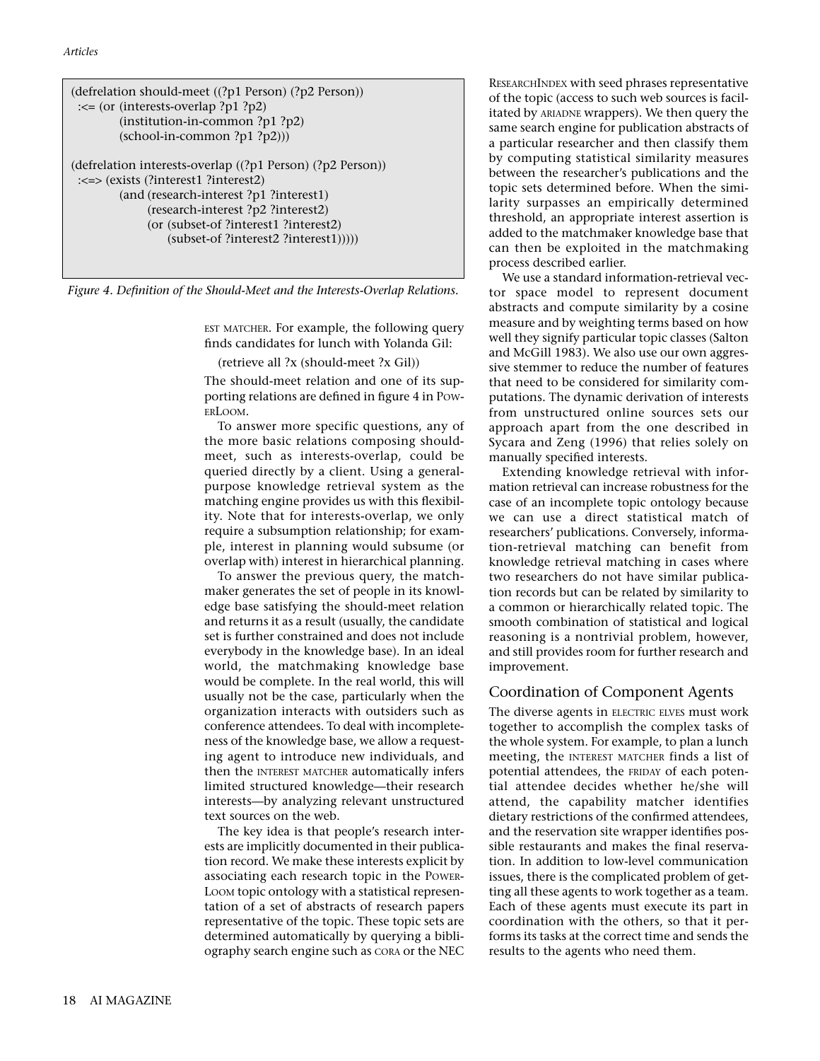| (defrelation should-meet ((?p1 Person) (?p2 Person))<br>$\leq$ (or (interests-overlap ?p1 ?p2)<br>$(institution-in-common ?p1 ?p2)$<br>$(school-in-common ?p1 ?p2))$                                                                                                    |
|-------------------------------------------------------------------------------------------------------------------------------------------------------------------------------------------------------------------------------------------------------------------------|
| (defrelation interests-overlap $((?p1 Person)$ ) $(?p2 Person)$<br>:<=> (exists (?interest1 ?interest2)<br>(and (research-interest ?p1 ?interest1)<br>(research-interest?p2?interest2)<br>(or (subset-of ?interest1 ?interest2)<br>$(subset-of?interest2?interest1))))$ |

*Figure 4. Definition of the Should-Meet and the Interests-Overlap Relations.*

EST MATCHER. For example, the following query finds candidates for lunch with Yolanda Gil:

#### (retrieve all ?x (should-meet ?x Gil))

The should-meet relation and one of its supporting relations are defined in figure 4 in Pow-ERLOOM.

To answer more specific questions, any of the more basic relations composing shouldmeet, such as interests-overlap, could be queried directly by a client. Using a generalpurpose knowledge retrieval system as the matching engine provides us with this flexibility. Note that for interests-overlap, we only require a subsumption relationship; for example, interest in planning would subsume (or overlap with) interest in hierarchical planning.

To answer the previous query, the matchmaker generates the set of people in its knowledge base satisfying the should-meet relation and returns it as a result (usually, the candidate set is further constrained and does not include everybody in the knowledge base). In an ideal world, the matchmaking knowledge base would be complete. In the real world, this will usually not be the case, particularly when the organization interacts with outsiders such as conference attendees. To deal with incompleteness of the knowledge base, we allow a requesting agent to introduce new individuals, and then the INTEREST MATCHER automatically infers limited structured knowledge—their research interests—by analyzing relevant unstructured text sources on the web.

The key idea is that people's research interests are implicitly documented in their publication record. We make these interests explicit by associating each research topic in the POWER-LOOM topic ontology with a statistical representation of a set of abstracts of research papers representative of the topic. These topic sets are determined automatically by querying a bibliography search engine such as CORA or the NEC RESEARCHINDEX with seed phrases representative of the topic (access to such web sources is facilitated by ARIADNE wrappers). We then query the same search engine for publication abstracts of a particular researcher and then classify them by computing statistical similarity measures between the researcher's publications and the topic sets determined before. When the similarity surpasses an empirically determined threshold, an appropriate interest assertion is added to the matchmaker knowledge base that can then be exploited in the matchmaking process described earlier.

We use a standard information-retrieval vector space model to represent document abstracts and compute similarity by a cosine measure and by weighting terms based on how well they signify particular topic classes (Salton and McGill 1983). We also use our own aggressive stemmer to reduce the number of features that need to be considered for similarity computations. The dynamic derivation of interests from unstructured online sources sets our approach apart from the one described in Sycara and Zeng (1996) that relies solely on manually specified interests.

Extending knowledge retrieval with information retrieval can increase robustness for the case of an incomplete topic ontology because we can use a direct statistical match of researchers' publications. Conversely, information-retrieval matching can benefit from knowledge retrieval matching in cases where two researchers do not have similar publication records but can be related by similarity to a common or hierarchically related topic. The smooth combination of statistical and logical reasoning is a nontrivial problem, however, and still provides room for further research and improvement.

#### Coordination of Component Agents

The diverse agents in ELECTRIC ELVES must work together to accomplish the complex tasks of the whole system. For example, to plan a lunch meeting, the INTEREST MATCHER finds a list of potential attendees, the FRIDAY of each potential attendee decides whether he/she will attend, the capability matcher identifies dietary restrictions of the confirmed attendees, and the reservation site wrapper identifies possible restaurants and makes the final reservation. In addition to low-level communication issues, there is the complicated problem of getting all these agents to work together as a team. Each of these agents must execute its part in coordination with the others, so that it performs its tasks at the correct time and sends the results to the agents who need them.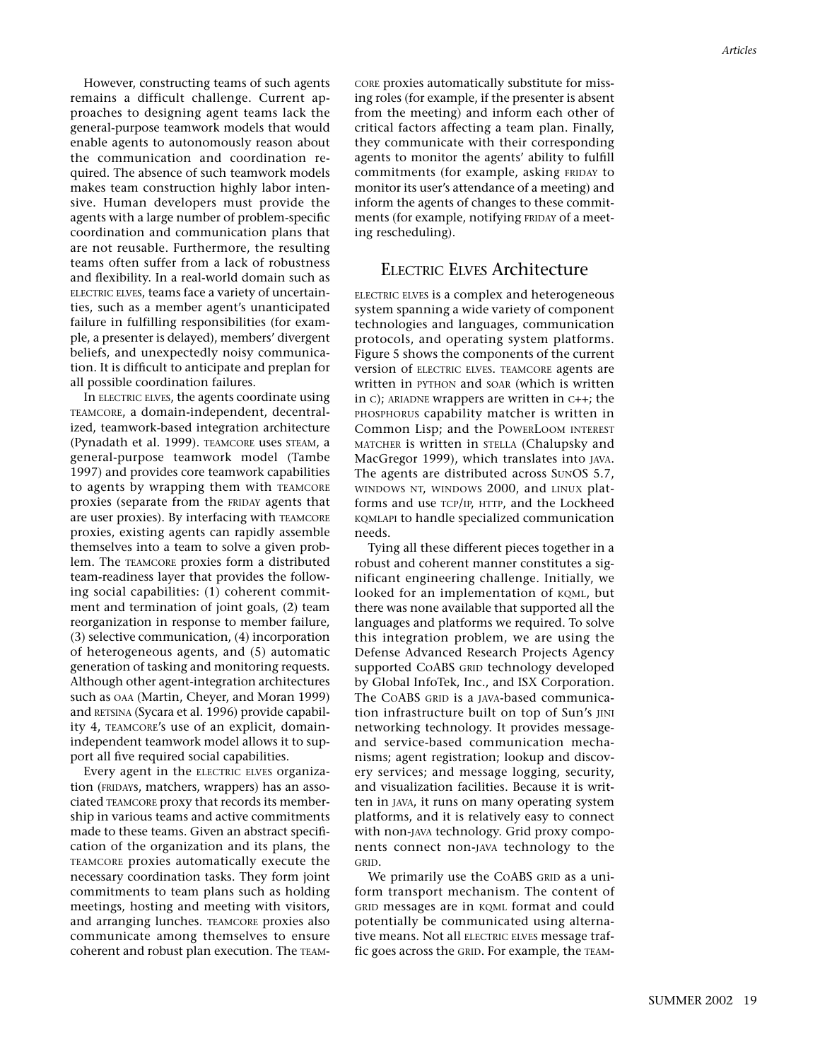However, constructing teams of such agents remains a difficult challenge. Current approaches to designing agent teams lack the general-purpose teamwork models that would enable agents to autonomously reason about the communication and coordination required. The absence of such teamwork models makes team construction highly labor intensive. Human developers must provide the agents with a large number of problem-specific coordination and communication plans that are not reusable. Furthermore, the resulting teams often suffer from a lack of robustness and flexibility. In a real-world domain such as ELECTRIC ELVES, teams face a variety of uncertainties, such as a member agent's unanticipated failure in fulfilling responsibilities (for example, a presenter is delayed), members' divergent beliefs, and unexpectedly noisy communication. It is difficult to anticipate and preplan for all possible coordination failures.

In ELECTRIC ELVES, the agents coordinate using TEAMCORE, a domain-independent, decentralized, teamwork-based integration architecture (Pynadath et al. 1999). TEAMCORE uses STEAM, a general-purpose teamwork model (Tambe 1997) and provides core teamwork capabilities to agents by wrapping them with TEAMCORE proxies (separate from the FRIDAY agents that are user proxies). By interfacing with TEAMCORE proxies, existing agents can rapidly assemble themselves into a team to solve a given problem. The TEAMCORE proxies form a distributed team-readiness layer that provides the following social capabilities: (1) coherent commitment and termination of joint goals, (2) team reorganization in response to member failure, (3) selective communication, (4) incorporation of heterogeneous agents, and (5) automatic generation of tasking and monitoring requests. Although other agent-integration architectures such as OAA (Martin, Cheyer, and Moran 1999) and RETSINA (Sycara et al. 1996) provide capability 4, TEAMCORE's use of an explicit, domainindependent teamwork model allows it to support all five required social capabilities.

Every agent in the ELECTRIC ELVES organization (FRIDAYs, matchers, wrappers) has an associated TEAMCORE proxy that records its membership in various teams and active commitments made to these teams. Given an abstract specification of the organization and its plans, the TEAMCORE proxies automatically execute the necessary coordination tasks. They form joint commitments to team plans such as holding meetings, hosting and meeting with visitors, and arranging lunches. TEAMCORE proxies also communicate among themselves to ensure coherent and robust plan execution. The TEAM-

CORE proxies automatically substitute for missing roles (for example, if the presenter is absent from the meeting) and inform each other of critical factors affecting a team plan. Finally, they communicate with their corresponding agents to monitor the agents' ability to fulfill commitments (for example, asking FRIDAY to monitor its user's attendance of a meeting) and inform the agents of changes to these commitments (for example, notifying FRIDAY of a meeting rescheduling).

## ELECTRIC ELVES Architecture

ELECTRIC ELVES is a complex and heterogeneous system spanning a wide variety of component technologies and languages, communication protocols, and operating system platforms. Figure 5 shows the components of the current version of ELECTRIC ELVES. TEAMCORE agents are written in PYTHON and SOAR (which is written in C); ARIADNE wrappers are written in C++; the PHOSPHORUS capability matcher is written in Common Lisp; and the POWERLOOM INTEREST MATCHER is written in STELLA (Chalupsky and MacGregor 1999), which translates into JAVA. The agents are distributed across SUNOS 5.7, WINDOWS NT, WINDOWS 2000, and LINUX platforms and use TCP/IP, HTTP, and the Lockheed KQMLAPI to handle specialized communication needs.

Tying all these different pieces together in a robust and coherent manner constitutes a significant engineering challenge. Initially, we looked for an implementation of KQML, but there was none available that supported all the languages and platforms we required. To solve this integration problem, we are using the Defense Advanced Research Projects Agency supported COABS GRID technology developed by Global InfoTek, Inc., and ISX Corporation. The COABS GRID is a JAVA-based communication infrastructure built on top of Sun's JINI networking technology. It provides messageand service-based communication mechanisms; agent registration; lookup and discovery services; and message logging, security, and visualization facilities. Because it is written in JAVA, it runs on many operating system platforms, and it is relatively easy to connect with non-JAVA technology. Grid proxy components connect non-JAVA technology to the GRID.

We primarily use the COABS GRID as a uniform transport mechanism. The content of GRID messages are in KQML format and could potentially be communicated using alternative means. Not all ELECTRIC ELVES message traffic goes across the GRID. For example, the TEAM-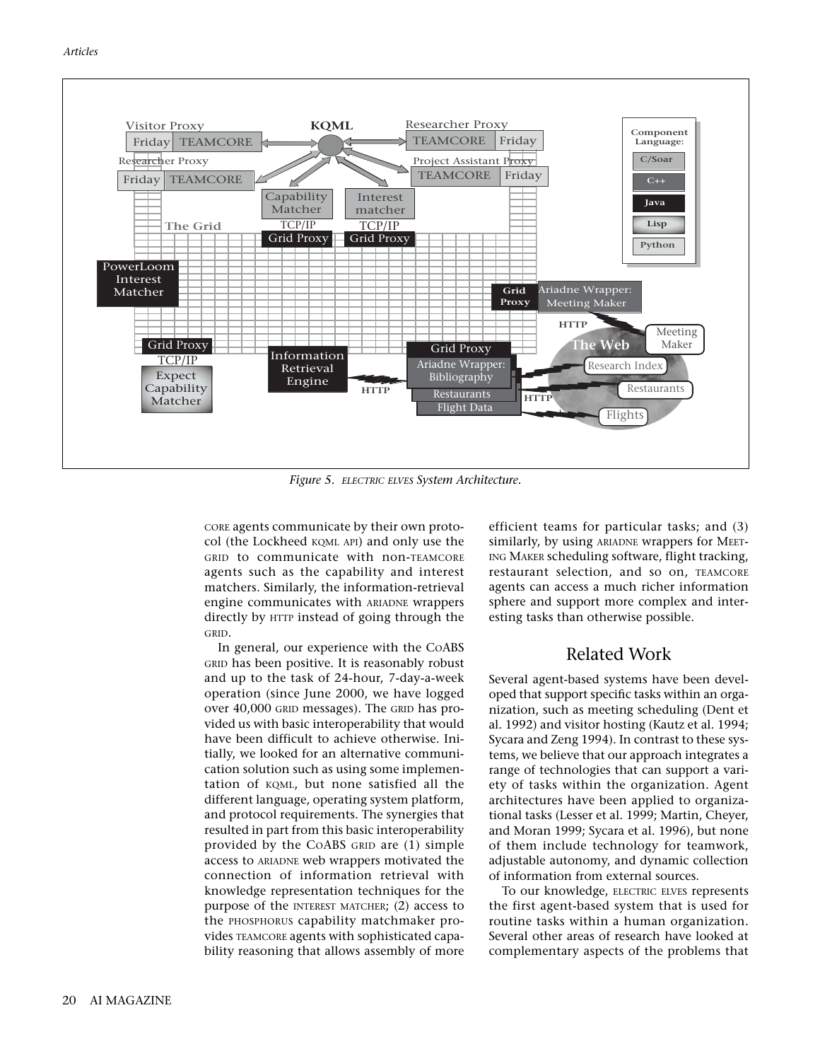

*Figure 5. ELECTRIC ELVES System Architecture.*

CORE agents communicate by their own protocol (the Lockheed KQML API) and only use the GRID to communicate with non-TEAMCORE agents such as the capability and interest matchers. Similarly, the information-retrieval engine communicates with ARIADNE wrappers directly by HTTP instead of going through the GRID.

In general, our experience with the COABS GRID has been positive. It is reasonably robust and up to the task of 24-hour, 7-day-a-week operation (since June 2000, we have logged over 40,000 GRID messages). The GRID has provided us with basic interoperability that would have been difficult to achieve otherwise. Initially, we looked for an alternative communication solution such as using some implementation of KQML, but none satisfied all the different language, operating system platform, and protocol requirements. The synergies that resulted in part from this basic interoperability provided by the COABS GRID are (1) simple access to ARIADNE web wrappers motivated the connection of information retrieval with knowledge representation techniques for the purpose of the INTEREST MATCHER; (2) access to the PHOSPHORUS capability matchmaker provides TEAMCORE agents with sophisticated capability reasoning that allows assembly of more efficient teams for particular tasks; and (3) similarly, by using ARIADNE wrappers for MEET-ING MAKER scheduling software, flight tracking, restaurant selection, and so on, TEAMCORE agents can access a much richer information sphere and support more complex and interesting tasks than otherwise possible.

## Related Work

Several agent-based systems have been developed that support specific tasks within an organization, such as meeting scheduling (Dent et al. 1992) and visitor hosting (Kautz et al. 1994; Sycara and Zeng 1994). In contrast to these systems, we believe that our approach integrates a range of technologies that can support a variety of tasks within the organization. Agent architectures have been applied to organizational tasks (Lesser et al. 1999; Martin, Cheyer, and Moran 1999; Sycara et al. 1996), but none of them include technology for teamwork, adjustable autonomy, and dynamic collection of information from external sources.

To our knowledge, ELECTRIC ELVES represents the first agent-based system that is used for routine tasks within a human organization. Several other areas of research have looked at complementary aspects of the problems that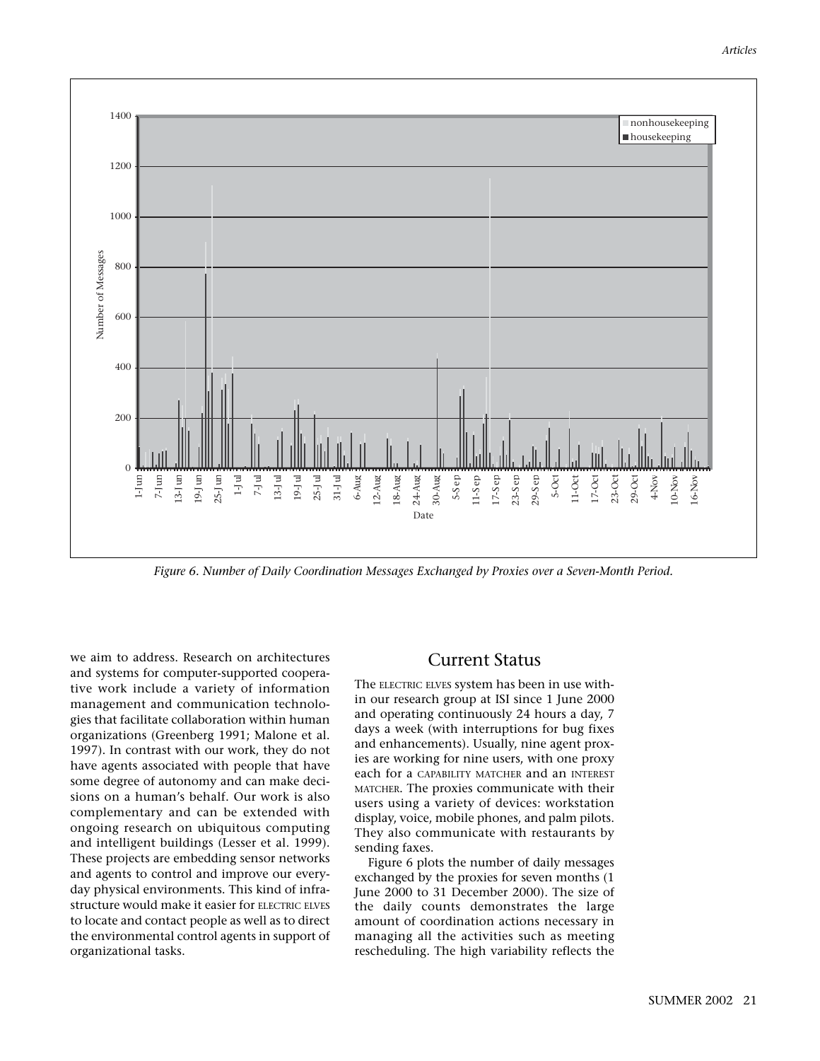

*Figure 6. Number of Daily Coordination Messages Exchanged by Proxies over a Seven-Month Period.*

we aim to address. Research on architectures and systems for computer-supported cooperative work include a variety of information management and communication technologies that facilitate collaboration within human organizations (Greenberg 1991; Malone et al. 1997). In contrast with our work, they do not have agents associated with people that have some degree of autonomy and can make decisions on a human's behalf. Our work is also complementary and can be extended with ongoing research on ubiquitous computing and intelligent buildings (Lesser et al. 1999). These projects are embedding sensor networks and agents to control and improve our everyday physical environments. This kind of infrastructure would make it easier for ELECTRIC ELVES to locate and contact people as well as to direct the environmental control agents in support of organizational tasks.

## Current Status

The ELECTRIC ELVES system has been in use within our research group at ISI since 1 June 2000 and operating continuously 24 hours a day, 7 days a week (with interruptions for bug fixes and enhancements). Usually, nine agent proxies are working for nine users, with one proxy each for a CAPABILITY MATCHER and an INTEREST MATCHER. The proxies communicate with their users using a variety of devices: workstation display, voice, mobile phones, and palm pilots. They also communicate with restaurants by sending faxes.

Figure 6 plots the number of daily messages exchanged by the proxies for seven months (1 June 2000 to 31 December 2000). The size of the daily counts demonstrates the large amount of coordination actions necessary in managing all the activities such as meeting rescheduling. The high variability reflects the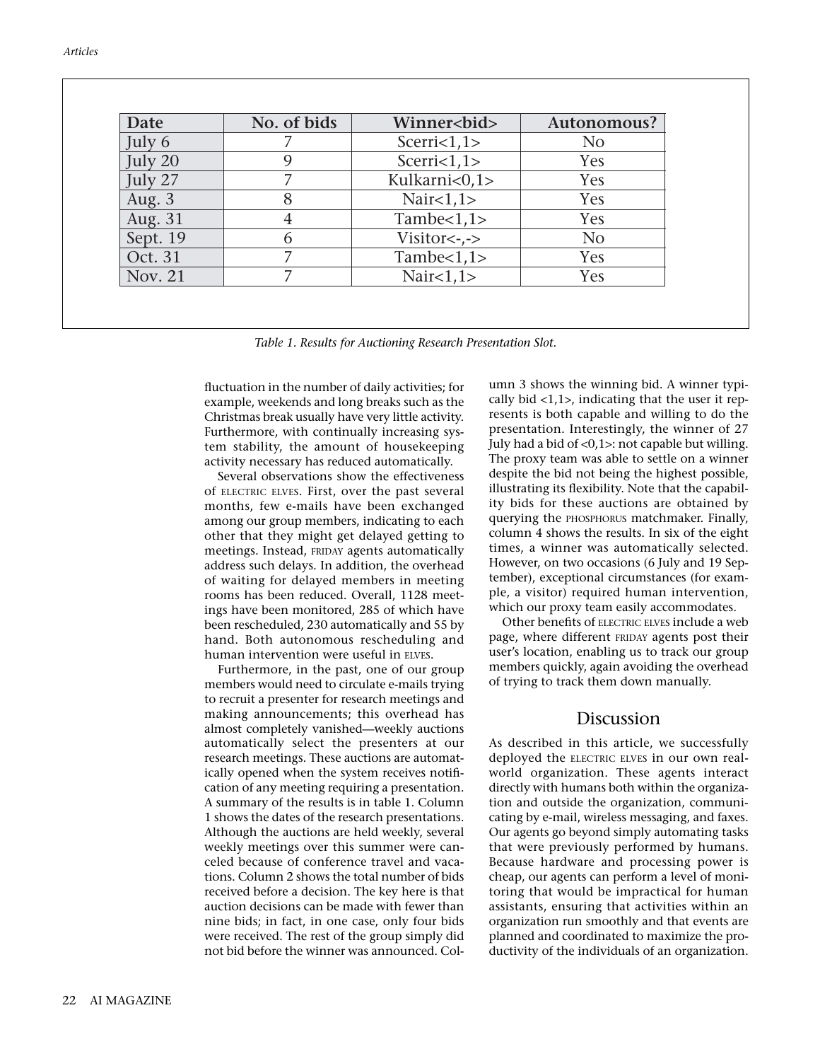|                                                                                             | No. of bids                                                                                         | Winner<br>bid>                                              | Autonomous?                                                                        |
|---------------------------------------------------------------------------------------------|-----------------------------------------------------------------------------------------------------|-------------------------------------------------------------|------------------------------------------------------------------------------------|
|                                                                                             | 7                                                                                                   | $S\text{cerri} < 1, 1 \geq$                                 | N <sub>o</sub>                                                                     |
|                                                                                             | 9                                                                                                   | Scerri<1,1>                                                 | Yes                                                                                |
|                                                                                             | 7                                                                                                   | Kulkarni<0,1>                                               | Yes                                                                                |
|                                                                                             | 8                                                                                                   |                                                             | Yes                                                                                |
|                                                                                             | $\overline{4}$                                                                                      | Nair<1,1>                                                   | Yes                                                                                |
|                                                                                             | 6                                                                                                   | Tambe $<$ 1,1>                                              | N <sub>o</sub>                                                                     |
|                                                                                             | $\overline{7}$                                                                                      | Visitor<-,->                                                |                                                                                    |
|                                                                                             | $\overline{7}$                                                                                      | Tambe $<$ 1,1><br>Nair $<1,1>$                              | Yes<br>Yes                                                                         |
|                                                                                             |                                                                                                     |                                                             |                                                                                    |
| Date<br>July 6<br>July 20<br>July 27<br>Aug. 3<br>Aug. 31<br>Sept. 19<br>Oct. 31<br>Nov. 21 |                                                                                                     |                                                             |                                                                                    |
|                                                                                             |                                                                                                     | Table 1. Results for Auctioning Research Presentation Slot. |                                                                                    |
|                                                                                             |                                                                                                     |                                                             |                                                                                    |
|                                                                                             | fluctuation in the number of daily activities; for<br>example, weekends and long breaks such as the |                                                             | umn 3 shows the winning bid. A winner<br>cally bid <1,1>, indicating that the user |

*Table 1. Results for Auctioning Research Presentation Slot.*

fluctuation in the number of daily activities; for example, weekends and long breaks such as the Christmas break usually have very little activity. Furthermore, with continually increasing system stability, the amount of housekeeping activity necessary has reduced automatically.

Several observations show the effectiveness of ELECTRIC ELVES. First, over the past several months, few e-mails have been exchanged among our group members, indicating to each other that they might get delayed getting to meetings. Instead, FRIDAY agents automatically address such delays. In addition, the overhead of waiting for delayed members in meeting rooms has been reduced. Overall, 1128 meetings have been monitored, 285 of which have been rescheduled, 230 automatically and 55 by hand. Both autonomous rescheduling and human intervention were useful in ELVES.

Furthermore, in the past, one of our group members would need to circulate e-mails trying to recruit a presenter for research meetings and making announcements; this overhead has almost completely vanished—weekly auctions automatically select the presenters at our research meetings. These auctions are automatically opened when the system receives notification of any meeting requiring a presentation. A summary of the results is in table 1. Column 1 shows the dates of the research presentations. Although the auctions are held weekly, several weekly meetings over this summer were canceled because of conference travel and vacations. Column 2 shows the total number of bids received before a decision. The key here is that auction decisions can be made with fewer than nine bids; in fact, in one case, only four bids were received. The rest of the group simply did not bid before the winner was announced. Col-

umn 3 shows the winning bid. A winner typically bid  $\langle 1,1 \rangle$ , indicating that the user it represents is both capable and willing to do the presentation. Interestingly, the winner of 27 July had a bid of  $<\,0,1\ge$ : not capable but willing. The proxy team was able to settle on a winner despite the bid not being the highest possible, illustrating its flexibility. Note that the capability bids for these auctions are obtained by querying the PHOSPHORUS matchmaker. Finally, column 4 shows the results. In six of the eight times, a winner was automatically selected. However, on two occasions (6 July and 19 September), exceptional circumstances (for example, a visitor) required human intervention, which our proxy team easily accommodates.

Other benefits of ELECTRIC ELVES include a web page, where different FRIDAY agents post their user's location, enabling us to track our group members quickly, again avoiding the overhead of trying to track them down manually.

## Discussion

As described in this article, we successfully deployed the ELECTRIC ELVES in our own realworld organization. These agents interact directly with humans both within the organization and outside the organization, communicating by e-mail, wireless messaging, and faxes. Our agents go beyond simply automating tasks that were previously performed by humans. Because hardware and processing power is cheap, our agents can perform a level of monitoring that would be impractical for human assistants, ensuring that activities within an organization run smoothly and that events are planned and coordinated to maximize the productivity of the individuals of an organization.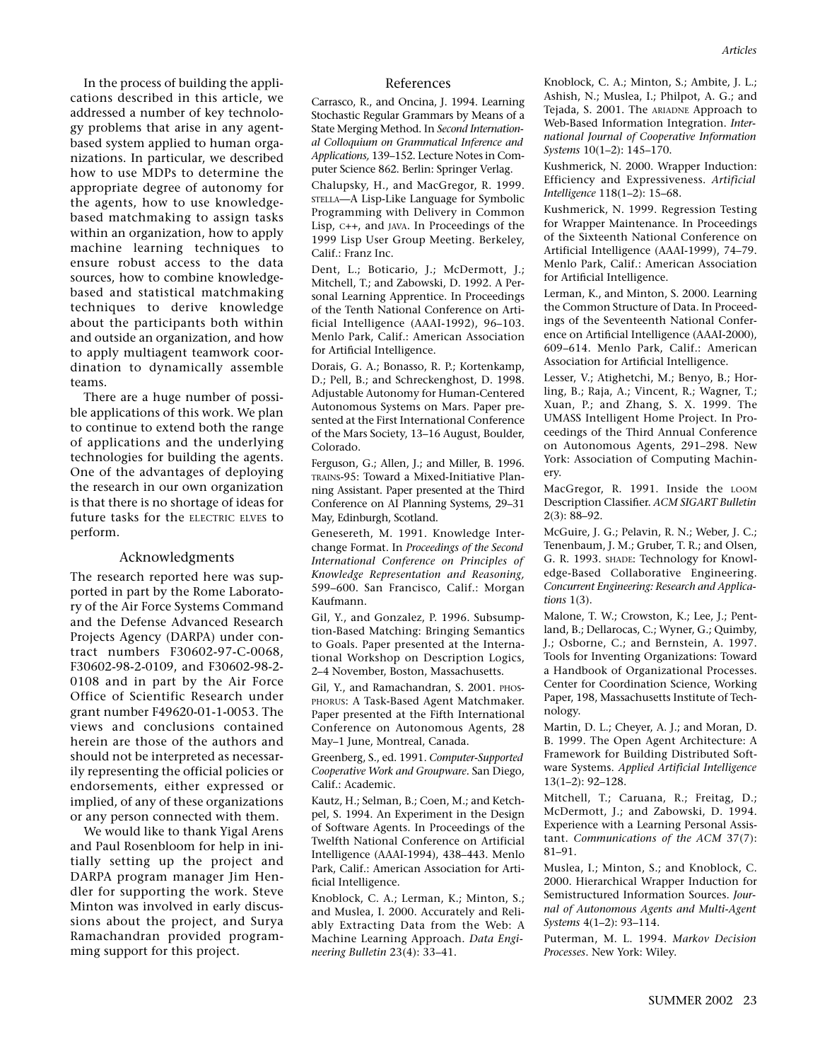In the process of building the applications described in this article, we addressed a number of key technology problems that arise in any agentbased system applied to human organizations. In particular, we described how to use MDPs to determine the appropriate degree of autonomy for the agents, how to use knowledgebased matchmaking to assign tasks within an organization, how to apply machine learning techniques to ensure robust access to the data sources, how to combine knowledgebased and statistical matchmaking techniques to derive knowledge about the participants both within and outside an organization, and how to apply multiagent teamwork coordination to dynamically assemble teams.

There are a huge number of possible applications of this work. We plan to continue to extend both the range of applications and the underlying technologies for building the agents. One of the advantages of deploying the research in our own organization is that there is no shortage of ideas for future tasks for the ELECTRIC ELVES to perform.

#### Acknowledgments

The research reported here was supported in part by the Rome Laboratory of the Air Force Systems Command and the Defense Advanced Research Projects Agency (DARPA) under contract numbers F30602-97-C-0068, F30602-98-2-0109, and F30602-98-2- 0108 and in part by the Air Force Office of Scientific Research under grant number F49620-01-1-0053. The views and conclusions contained herein are those of the authors and should not be interpreted as necessarily representing the official policies or endorsements, either expressed or implied, of any of these organizations or any person connected with them.

We would like to thank Yigal Arens and Paul Rosenbloom for help in initially setting up the project and DARPA program manager Jim Hendler for supporting the work. Steve Minton was involved in early discussions about the project, and Surya Ramachandran provided programming support for this project.

#### References

Carrasco, R., and Oncina, J. 1994. Learning Stochastic Regular Grammars by Means of a State Merging Method. In *Second International Colloquium on Grammatical Inference and Applications,* 139–152. Lecture Notes in Computer Science 862. Berlin: Springer Verlag.

Chalupsky, H., and MacGregor, R. 1999. STELLA—A Lisp-Like Language for Symbolic Programming with Delivery in Common Lisp, C++, and JAVA. In Proceedings of the 1999 Lisp User Group Meeting. Berkeley, Calif.: Franz Inc.

Dent, L.; Boticario, J.; McDermott, J.; Mitchell, T.; and Zabowski, D. 1992. A Personal Learning Apprentice. In Proceedings of the Tenth National Conference on Artificial Intelligence (AAAI-1992), 96–103. Menlo Park, Calif.: American Association for Artificial Intelligence.

Dorais, G. A.; Bonasso, R. P.; Kortenkamp, D.; Pell, B.; and Schreckenghost, D. 1998. Adjustable Autonomy for Human-Centered Autonomous Systems on Mars. Paper presented at the First International Conference of the Mars Society, 13–16 August, Boulder, Colorado.

Ferguson, G.; Allen, J.; and Miller, B. 1996. TRAINS-95: Toward a Mixed-Initiative Planning Assistant. Paper presented at the Third Conference on AI Planning Systems, 29–31 May, Edinburgh, Scotland.

Genesereth, M. 1991. Knowledge Interchange Format. In *Proceedings of the Second International Conference on Principles of Knowledge Representation and Reasoning,* 599–600. San Francisco, Calif.: Morgan Kaufmann.

Gil, Y., and Gonzalez, P. 1996. Subsumption-Based Matching: Bringing Semantics to Goals. Paper presented at the International Workshop on Description Logics, 2–4 November, Boston, Massachusetts.

Gil, Y., and Ramachandran, S. 2001. PHOS-PHORUS: A Task-Based Agent Matchmaker. Paper presented at the Fifth International Conference on Autonomous Agents, 28 May–1 June, Montreal, Canada.

Greenberg, S., ed. 1991. *Computer-Supported Cooperative Work and Groupware.* San Diego, Calif.: Academic.

Kautz, H.; Selman, B.; Coen, M.; and Ketchpel, S. 1994. An Experiment in the Design of Software Agents. In Proceedings of the Twelfth National Conference on Artificial Intelligence (AAAI-1994), 438–443. Menlo Park, Calif.: American Association for Artificial Intelligence.

Knoblock, C. A.; Lerman, K.; Minton, S.; and Muslea, I. 2000. Accurately and Reliably Extracting Data from the Web: A Machine Learning Approach. *Data Engineering Bulletin* 23(4): 33–41.

Knoblock, C. A.; Minton, S.; Ambite, J. L.; Ashish, N.; Muslea, I.; Philpot, A. G.; and Tejada, S. 2001. The ARIADNE Approach to Web-Based Information Integration. *International Journal of Cooperative Information Systems* 10(1–2): 145–170.

Kushmerick, N. 2000. Wrapper Induction: Efficiency and Expressiveness. *Artificial Intelligence* 118(1–2): 15–68.

Kushmerick, N. 1999. Regression Testing for Wrapper Maintenance. In Proceedings of the Sixteenth National Conference on Artificial Intelligence (AAAI-1999), 74–79. Menlo Park, Calif.: American Association for Artificial Intelligence.

Lerman, K., and Minton, S. 2000. Learning the Common Structure of Data. In Proceedings of the Seventeenth National Conference on Artificial Intelligence (AAAI-2000), 609–614. Menlo Park, Calif.: American Association for Artificial Intelligence.

Lesser, V.; Atighetchi, M.; Benyo, B.; Horling, B.; Raja, A.; Vincent, R.; Wagner, T.; Xuan, P.; and Zhang, S. X. 1999. The UMASS Intelligent Home Project. In Proceedings of the Third Annual Conference on Autonomous Agents, 291–298. New York: Association of Computing Machinery.

MacGregor, R. 1991. Inside the LOOM Description Classifier. *ACM SIGART Bulletin* 2(3): 88–92.

McGuire, J. G.; Pelavin, R. N.; Weber, J. C.; Tenenbaum, J. M.; Gruber, T. R.; and Olsen, G. R. 1993. SHADE: Technology for Knowledge-Based Collaborative Engineering. *Concurrent Engineering: Research and Applications* 1(3).

Malone, T. W.; Crowston, K.; Lee, J.; Pentland, B.; Dellarocas, C.; Wyner, G.; Quimby, J.; Osborne, C.; and Bernstein, A. 1997. Tools for Inventing Organizations: Toward a Handbook of Organizational Processes. Center for Coordination Science, Working Paper, 198, Massachusetts Institute of Technology.

Martin, D. L.; Cheyer, A. J.; and Moran, D. B. 1999. The Open Agent Architecture: A Framework for Building Distributed Software Systems. *Applied Artificial Intelligence* 13(1–2): 92–128.

Mitchell, T.; Caruana, R.; Freitag, D.; McDermott, J.; and Zabowski, D. 1994. Experience with a Learning Personal Assistant. *Communications of the ACM* 37(7): 81–91.

Muslea, I.; Minton, S.; and Knoblock, C. 2000. Hierarchical Wrapper Induction for Semistructured Information Sources. *Journal of Autonomous Agents and Multi-Agent Systems* 4(1–2): 93–114.

Puterman, M. L. 1994. *Markov Decision Processes*. New York: Wiley.